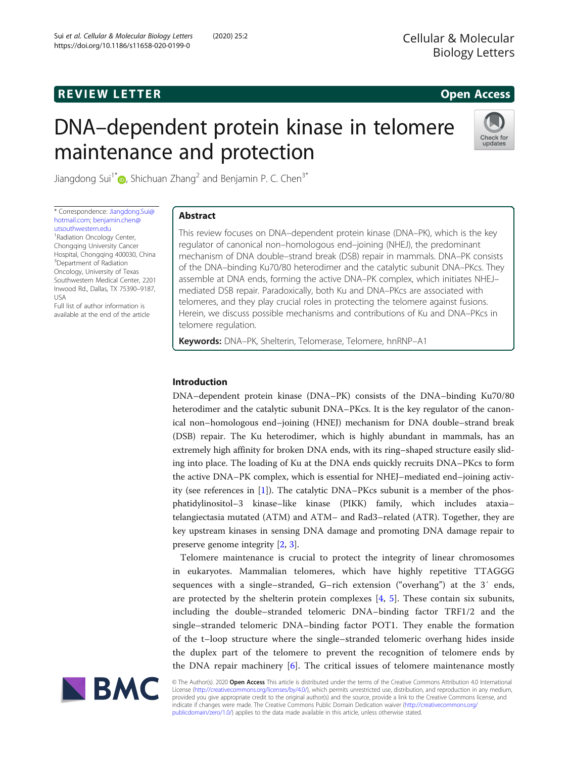# **REVIEW LETTER EXISTENTIAL STATE AND REVIEW LETTER CONSUMING A CONSUMING A CONSUMING A CONSUMING A CONSUMING A CONSUMING A CONSUMING A CONSUMING A CONSUMING A CONSUMING A CONSUMING A CONSUMING A CONSUMING A CONSUMING A**

# DNA–dependent protein kinase in telomere maintenance and protection



Jiangdong Sui<sup>1\*</sup> <sub>(b</sub>[,](http://orcid.org/0000-0001-5171-1978) Shichuan Zhang<sup>2</sup> and Benjamin P. C. Chen<sup>3\*</sup>

\* Correspondence: [Jiangdong.Sui@](mailto:Jiangdong.Sui@hotmail.com) [hotmail.com](mailto:Jiangdong.Sui@hotmail.com); [benjamin.chen@](mailto:benjamin.chen@utsouthwestern.edu) [utsouthwestern.edu](mailto:benjamin.chen@utsouthwestern.edu) <sup>1</sup> Radiation Oncology Center, Chongqing University Cancer Hospital, Chongqing 400030, China <sup>3</sup>Department of Radiation Oncology, University of Texas Southwestern Medical Center, 2201 Inwood Rd., Dallas, TX 75390–9187, USA

Full list of author information is available at the end of the article

# Abstract

This review focuses on DNA–dependent protein kinase (DNA–PK), which is the key regulator of canonical non–homologous end–joining (NHEJ), the predominant mechanism of DNA double–strand break (DSB) repair in mammals. DNA–PK consists of the DNA–binding Ku70/80 heterodimer and the catalytic subunit DNA–PKcs. They assemble at DNA ends, forming the active DNA–PK complex, which initiates NHEJ– mediated DSB repair. Paradoxically, both Ku and DNA–PKcs are associated with telomeres, and they play crucial roles in protecting the telomere against fusions. Herein, we discuss possible mechanisms and contributions of Ku and DNA–PKcs in telomere regulation.

Keywords: DNA–PK, Shelterin, Telomerase, Telomere, hnRNP–A1

## Introduction

DNA–dependent protein kinase (DNA–PK) consists of the DNA–binding Ku70/80 heterodimer and the catalytic subunit DNA–PKcs. It is the key regulator of the canonical non–homologous end–joining (HNEJ) mechanism for DNA double–strand break (DSB) repair. The Ku heterodimer, which is highly abundant in mammals, has an extremely high affinity for broken DNA ends, with its ring–shaped structure easily sliding into place. The loading of Ku at the DNA ends quickly recruits DNA–PKcs to form the active DNA–PK complex, which is essential for NHEJ–mediated end–joining activity (see references in [\[1](#page-10-0)]). The catalytic DNA–PKcs subunit is a member of the phosphatidylinositol–3 kinase–like kinase (PIKK) family, which includes ataxia– telangiectasia mutated (ATM) and ATM– and Rad3–related (ATR). Together, they are key upstream kinases in sensing DNA damage and promoting DNA damage repair to preserve genome integrity [\[2,](#page-10-0) [3\]](#page-10-0).

Telomere maintenance is crucial to protect the integrity of linear chromosomes in eukaryotes. Mammalian telomeres, which have highly repetitive TTAGGG sequences with a single–stranded, G–rich extension ("overhang") at the 3′ ends, are protected by the shelterin protein complexes  $[4, 5]$  $[4, 5]$  $[4, 5]$  $[4, 5]$ . These contain six subunits, including the double–stranded telomeric DNA–binding factor TRF1/2 and the single–stranded telomeric DNA–binding factor POT1. They enable the formation of the t–loop structure where the single–stranded telomeric overhang hides inside the duplex part of the telomere to prevent the recognition of telomere ends by the DNA repair machinery [[6\]](#page-10-0). The critical issues of telomere maintenance mostly



© The Author(s). 2020 Open Access This article is distributed under the terms of the Creative Commons Attribution 4.0 International License ([http://creativecommons.org/licenses/by/4.0/\)](http://creativecommons.org/licenses/by/4.0/), which permits unrestricted use, distribution, and reproduction in any medium, provided you give appropriate credit to the original author(s) and the source, provide a link to the Creative Commons license, and indicate if changes were made. The Creative Commons Public Domain Dedication waiver ([http://creativecommons.org/](http://creativecommons.org/publicdomain/zero/1.0/) [publicdomain/zero/1.0/\)](http://creativecommons.org/publicdomain/zero/1.0/) applies to the data made available in this article, unless otherwise stated.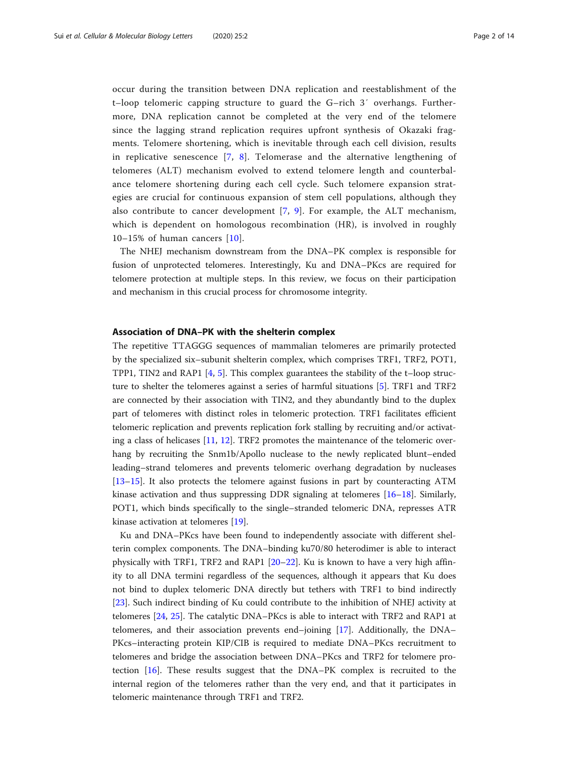occur during the transition between DNA replication and reestablishment of the t–loop telomeric capping structure to guard the G–rich 3′ overhangs. Furthermore, DNA replication cannot be completed at the very end of the telomere since the lagging strand replication requires upfront synthesis of Okazaki fragments. Telomere shortening, which is inevitable through each cell division, results in replicative senescence [\[7](#page-10-0), [8\]](#page-10-0). Telomerase and the alternative lengthening of telomeres (ALT) mechanism evolved to extend telomere length and counterbalance telomere shortening during each cell cycle. Such telomere expansion strategies are crucial for continuous expansion of stem cell populations, although they also contribute to cancer development [[7](#page-10-0), [9](#page-10-0)]. For example, the ALT mechanism, which is dependent on homologous recombination (HR), is involved in roughly 10–15% of human cancers [[10](#page-10-0)].

The NHEJ mechanism downstream from the DNA–PK complex is responsible for fusion of unprotected telomeres. Interestingly, Ku and DNA–PKcs are required for telomere protection at multiple steps. In this review, we focus on their participation and mechanism in this crucial process for chromosome integrity.

#### Association of DNA–PK with the shelterin complex

The repetitive TTAGGG sequences of mammalian telomeres are primarily protected by the specialized six–subunit shelterin complex, which comprises TRF1, TRF2, POT1, TPP1, TIN2 and RAP1 [[4,](#page-10-0) [5\]](#page-10-0). This complex guarantees the stability of the t–loop structure to shelter the telomeres against a series of harmful situations [\[5](#page-10-0)]. TRF1 and TRF2 are connected by their association with TIN2, and they abundantly bind to the duplex part of telomeres with distinct roles in telomeric protection. TRF1 facilitates efficient telomeric replication and prevents replication fork stalling by recruiting and/or activating a class of helicases [[11,](#page-10-0) [12\]](#page-10-0). TRF2 promotes the maintenance of the telomeric overhang by recruiting the Snm1b/Apollo nuclease to the newly replicated blunt–ended leading–strand telomeres and prevents telomeric overhang degradation by nucleases [[13](#page-10-0)–[15](#page-10-0)]. It also protects the telomere against fusions in part by counteracting ATM kinase activation and thus suppressing DDR signaling at telomeres [[16](#page-10-0)–[18](#page-10-0)]. Similarly, POT1, which binds specifically to the single–stranded telomeric DNA, represses ATR kinase activation at telomeres [[19\]](#page-10-0).

Ku and DNA–PKcs have been found to independently associate with different shelterin complex components. The DNA–binding ku70/80 heterodimer is able to interact physically with TRF1, TRF2 and RAP1 [[20](#page-10-0)–[22](#page-11-0)]. Ku is known to have a very high affinity to all DNA termini regardless of the sequences, although it appears that Ku does not bind to duplex telomeric DNA directly but tethers with TRF1 to bind indirectly [[23\]](#page-11-0). Such indirect binding of Ku could contribute to the inhibition of NHEJ activity at telomeres [[24](#page-11-0), [25\]](#page-11-0). The catalytic DNA–PKcs is able to interact with TRF2 and RAP1 at telomeres, and their association prevents end–joining [[17\]](#page-10-0). Additionally, the DNA– PKcs–interacting protein KIP/CIB is required to mediate DNA–PKcs recruitment to telomeres and bridge the association between DNA–PKcs and TRF2 for telomere protection [\[16](#page-10-0)]. These results suggest that the DNA–PK complex is recruited to the internal region of the telomeres rather than the very end, and that it participates in telomeric maintenance through TRF1 and TRF2.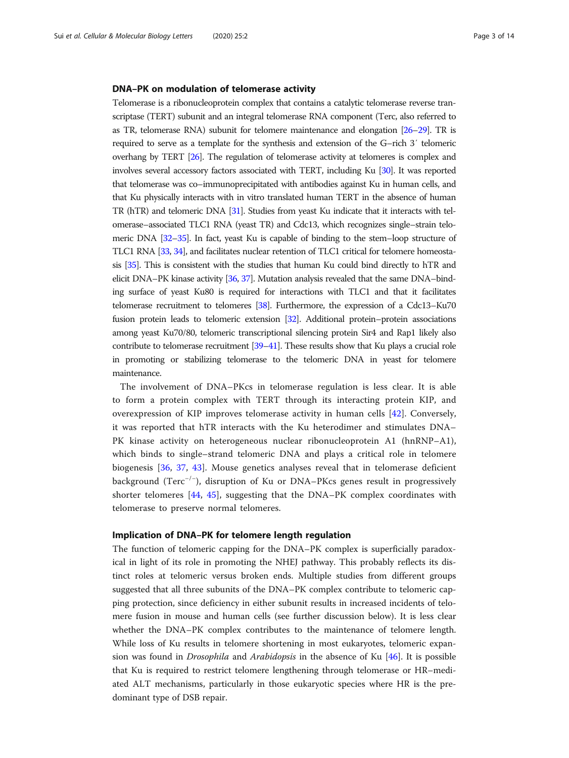#### DNA–PK on modulation of telomerase activity

Telomerase is a ribonucleoprotein complex that contains a catalytic telomerase reverse transcriptase (TERT) subunit and an integral telomerase RNA component (Terc, also referred to as TR, telomerase RNA) subunit for telomere maintenance and elongation [[26](#page-11-0)–[29](#page-11-0)]. TR is required to serve as a template for the synthesis and extension of the G–rich 3′ telomeric overhang by TERT [\[26\]](#page-11-0). The regulation of telomerase activity at telomeres is complex and involves several accessory factors associated with TERT, including Ku [[30\]](#page-11-0). It was reported that telomerase was co–immunoprecipitated with antibodies against Ku in human cells, and that Ku physically interacts with in vitro translated human TERT in the absence of human TR (hTR) and telomeric DNA [[31\]](#page-11-0). Studies from yeast Ku indicate that it interacts with telomerase–associated TLC1 RNA (yeast TR) and Cdc13, which recognizes single–strain telomeric DNA [\[32](#page-11-0)–[35](#page-11-0)]. In fact, yeast Ku is capable of binding to the stem–loop structure of TLC1 RNA [\[33,](#page-11-0) [34](#page-11-0)], and facilitates nuclear retention of TLC1 critical for telomere homeostasis [\[35\]](#page-11-0). This is consistent with the studies that human Ku could bind directly to hTR and elicit DNA–PK kinase activity [\[36](#page-11-0), [37](#page-11-0)]. Mutation analysis revealed that the same DNA–binding surface of yeast Ku80 is required for interactions with TLC1 and that it facilitates telomerase recruitment to telomeres [\[38\]](#page-11-0). Furthermore, the expression of a Cdc13–Ku70 fusion protein leads to telomeric extension [\[32](#page-11-0)]. Additional protein–protein associations among yeast Ku70/80, telomeric transcriptional silencing protein Sir4 and Rap1 likely also contribute to telomerase recruitment [\[39](#page-11-0)–[41](#page-11-0)]. These results show that Ku plays a crucial role in promoting or stabilizing telomerase to the telomeric DNA in yeast for telomere maintenance.

The involvement of DNA–PKcs in telomerase regulation is less clear. It is able to form a protein complex with TERT through its interacting protein KIP, and overexpression of KIP improves telomerase activity in human cells [\[42](#page-11-0)]. Conversely, it was reported that hTR interacts with the Ku heterodimer and stimulates DNA– PK kinase activity on heterogeneous nuclear ribonucleoprotein A1 (hnRNP–A1), which binds to single–strand telomeric DNA and plays a critical role in telomere biogenesis [[36](#page-11-0), [37,](#page-11-0) [43](#page-11-0)]. Mouse genetics analyses reveal that in telomerase deficient background (Terc−/<sup>−</sup> ), disruption of Ku or DNA–PKcs genes result in progressively shorter telomeres [[44,](#page-11-0) [45\]](#page-11-0), suggesting that the DNA–PK complex coordinates with telomerase to preserve normal telomeres.

#### Implication of DNA–PK for telomere length regulation

The function of telomeric capping for the DNA–PK complex is superficially paradoxical in light of its role in promoting the NHEJ pathway. This probably reflects its distinct roles at telomeric versus broken ends. Multiple studies from different groups suggested that all three subunits of the DNA–PK complex contribute to telomeric capping protection, since deficiency in either subunit results in increased incidents of telomere fusion in mouse and human cells (see further discussion below). It is less clear whether the DNA–PK complex contributes to the maintenance of telomere length. While loss of Ku results in telomere shortening in most eukaryotes, telomeric expansion was found in Drosophila and Arabidopsis in the absence of Ku [[46\]](#page-11-0). It is possible that Ku is required to restrict telomere lengthening through telomerase or HR–mediated ALT mechanisms, particularly in those eukaryotic species where HR is the predominant type of DSB repair.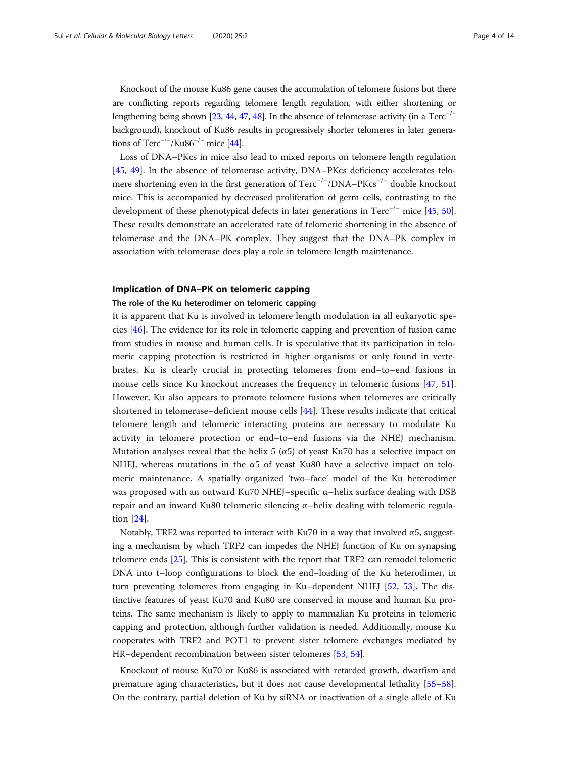Knockout of the mouse Ku86 gene causes the accumulation of telomere fusions but there are conflicting reports regarding telomere length regulation, with either shortening or lengthening being shown [\[23](#page-11-0), [44,](#page-11-0) [47,](#page-11-0) [48](#page-11-0)]. In the absence of telomerase activity (in a Terc<sup>-/−</sup> background), knockout of Ku86 results in progressively shorter telomeres in later generations of  $Terc^{-/-}/Ku86^{-/-}$  mice [[44](#page-11-0)].

Loss of DNA–PKcs in mice also lead to mixed reports on telomere length regulation [[45,](#page-11-0) [49](#page-11-0)]. In the absence of telomerase activity, DNA–PKcs deficiency accelerates telomere shortening even in the first generation of Terc<sup>-/−</sup>/DNA–PKcs<sup>-/−</sup> double knockout mice. This is accompanied by decreased proliferation of germ cells, contrasting to the development of these phenotypical defects in later generations in  $Terc^{-/-}$  mice [\[45](#page-11-0), [50](#page-11-0)]. These results demonstrate an accelerated rate of telomeric shortening in the absence of telomerase and the DNA–PK complex. They suggest that the DNA–PK complex in association with telomerase does play a role in telomere length maintenance.

### Implication of DNA–PK on telomeric capping

#### The role of the Ku heterodimer on telomeric capping

It is apparent that Ku is involved in telomere length modulation in all eukaryotic species [\[46](#page-11-0)]. The evidence for its role in telomeric capping and prevention of fusion came from studies in mouse and human cells. It is speculative that its participation in telomeric capping protection is restricted in higher organisms or only found in vertebrates. Ku is clearly crucial in protecting telomeres from end–to–end fusions in mouse cells since Ku knockout increases the frequency in telomeric fusions [\[47](#page-11-0), [51](#page-11-0)]. However, Ku also appears to promote telomere fusions when telomeres are critically shortened in telomerase–deficient mouse cells [\[44](#page-11-0)]. These results indicate that critical telomere length and telomeric interacting proteins are necessary to modulate Ku activity in telomere protection or end–to–end fusions via the NHEJ mechanism. Mutation analyses reveal that the helix 5 ( $\alpha$ 5) of yeast Ku70 has a selective impact on NHEJ, whereas mutations in the α5 of yeast Ku80 have a selective impact on telomeric maintenance. A spatially organized 'two–face' model of the Ku heterodimer was proposed with an outward Ku70 NHEJ–specific  $\alpha$ –helix surface dealing with DSB repair and an inward Ku80 telomeric silencing α–helix dealing with telomeric regulation [\[24](#page-11-0)].

Notably, TRF2 was reported to interact with Ku70 in a way that involved α5, suggesting a mechanism by which TRF2 can impedes the NHEJ function of Ku on synapsing telomere ends [[25\]](#page-11-0). This is consistent with the report that TRF2 can remodel telomeric DNA into t–loop configurations to block the end–loading of the Ku heterodimer, in turn preventing telomeres from engaging in Ku–dependent NHEJ [[52,](#page-11-0) [53\]](#page-11-0). The distinctive features of yeast Ku70 and Ku80 are conserved in mouse and human Ku proteins. The same mechanism is likely to apply to mammalian Ku proteins in telomeric capping and protection, although further validation is needed. Additionally, mouse Ku cooperates with TRF2 and POT1 to prevent sister telomere exchanges mediated by HR–dependent recombination between sister telomeres [\[53](#page-11-0), [54\]](#page-11-0).

Knockout of mouse Ku70 or Ku86 is associated with retarded growth, dwarfism and premature aging characteristics, but it does not cause developmental lethality [[55](#page-11-0)–[58](#page-12-0)]. On the contrary, partial deletion of Ku by siRNA or inactivation of a single allele of Ku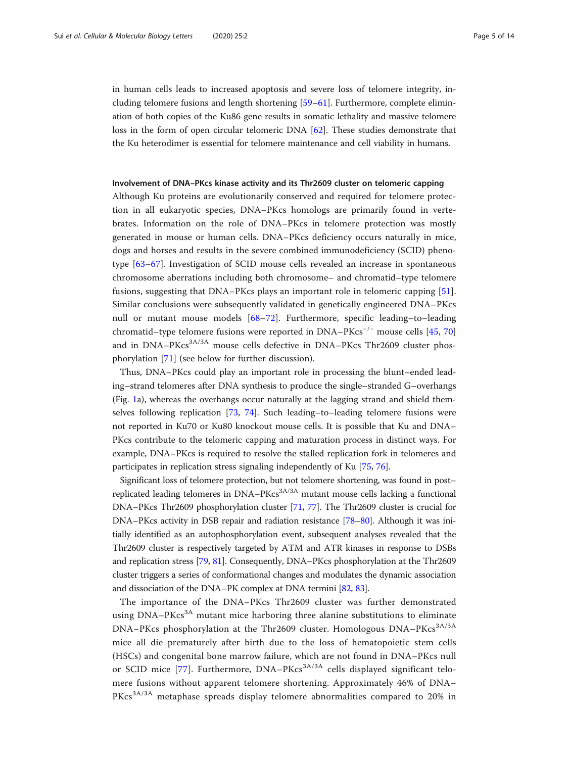in human cells leads to increased apoptosis and severe loss of telomere integrity, including telomere fusions and length shortening [\[59](#page-12-0)–[61\]](#page-12-0). Furthermore, complete elimination of both copies of the Ku86 gene results in somatic lethality and massive telomere loss in the form of open circular telomeric DNA [\[62](#page-12-0)]. These studies demonstrate that the Ku heterodimer is essential for telomere maintenance and cell viability in humans.

#### Involvement of DNA–PKcs kinase activity and its Thr2609 cluster on telomeric capping

Although Ku proteins are evolutionarily conserved and required for telomere protection in all eukaryotic species, DNA–PKcs homologs are primarily found in vertebrates. Information on the role of DNA–PKcs in telomere protection was mostly generated in mouse or human cells. DNA–PKcs deficiency occurs naturally in mice, dogs and horses and results in the severe combined immunodeficiency (SCID) phenotype [[63](#page-12-0)–[67](#page-12-0)]. Investigation of SCID mouse cells revealed an increase in spontaneous chromosome aberrations including both chromosome– and chromatid–type telomere fusions, suggesting that DNA–PKcs plays an important role in telomeric capping [\[51](#page-11-0)]. Similar conclusions were subsequently validated in genetically engineered DNA–PKcs null or mutant mouse models [\[68](#page-12-0)–[72](#page-12-0)]. Furthermore, specific leading–to–leading chromatid–type telomere fusions were reported in DNA–PKcs−/<sup>−</sup> mouse cells [\[45](#page-11-0), [70](#page-12-0)] and in DNA–PKcs<sup>3A/3A</sup> mouse cells defective in DNA–PKcs Thr2609 cluster phosphorylation [[71\]](#page-12-0) (see below for further discussion).

Thus, DNA–PKcs could play an important role in processing the blunt–ended leading–strand telomeres after DNA synthesis to produce the single–stranded G–overhangs (Fig. [1a](#page-5-0)), whereas the overhangs occur naturally at the lagging strand and shield themselves following replication [[73](#page-12-0), [74\]](#page-12-0). Such leading–to–leading telomere fusions were not reported in Ku70 or Ku80 knockout mouse cells. It is possible that Ku and DNA– PKcs contribute to the telomeric capping and maturation process in distinct ways. For example, DNA–PKcs is required to resolve the stalled replication fork in telomeres and participates in replication stress signaling independently of Ku [[75,](#page-12-0) [76\]](#page-12-0).

Significant loss of telomere protection, but not telomere shortening, was found in post– replicated leading telomeres in  $DNA-PKcs<sup>3A/3A</sup>$  mutant mouse cells lacking a functional DNA–PKcs Thr2609 phosphorylation cluster [\[71,](#page-12-0) [77\]](#page-12-0). The Thr2609 cluster is crucial for DNA–PKcs activity in DSB repair and radiation resistance [[78](#page-12-0)–[80\]](#page-12-0). Although it was initially identified as an autophosphorylation event, subsequent analyses revealed that the Thr2609 cluster is respectively targeted by ATM and ATR kinases in response to DSBs and replication stress [\[79,](#page-12-0) [81](#page-12-0)]. Consequently, DNA–PKcs phosphorylation at the Thr2609 cluster triggers a series of conformational changes and modulates the dynamic association and dissociation of the DNA–PK complex at DNA termini [[82](#page-12-0), [83\]](#page-12-0).

The importance of the DNA–PKcs Thr2609 cluster was further demonstrated using DNA–PKcs<sup>3A</sup> mutant mice harboring three alanine substitutions to eliminate DNA–PKcs phosphorylation at the Thr2609 cluster. Homologous DNA–PKcs<sup>3A/3A</sup> mice all die prematurely after birth due to the loss of hematopoietic stem cells (HSCs) and congenital bone marrow failure, which are not found in DNA–PKcs null or SCID mice [[77\]](#page-12-0). Furthermore, DNA–PKcs<sup>3A/3A</sup> cells displayed significant telomere fusions without apparent telomere shortening. Approximately 46% of DNA– PKcs<sup>3A/3A</sup> metaphase spreads display telomere abnormalities compared to 20% in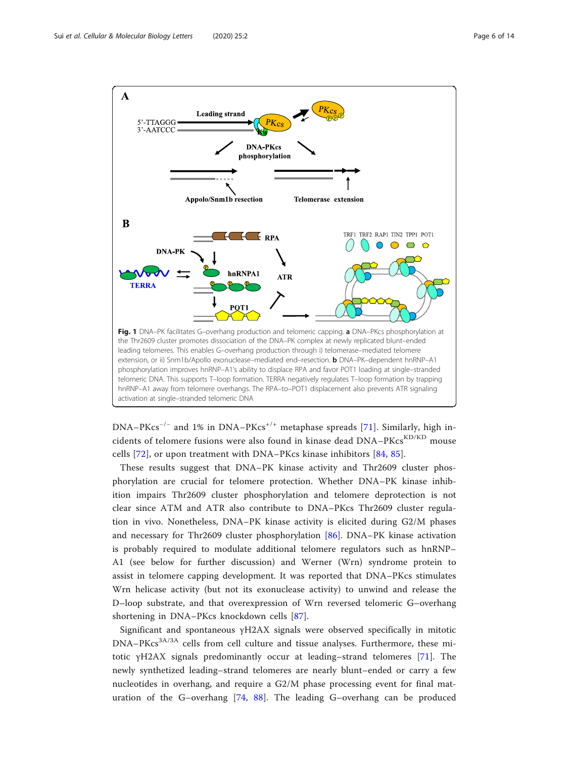<span id="page-5-0"></span>

 $DNA-PKcs^{-/-}$  and 1% in  $DNA-PKcs^{+/+}$  metaphase spreads [[71\]](#page-12-0). Similarly, high incidents of telomere fusions were also found in kinase dead DNA–PKcs<sup>KD/KD</sup> mouse cells [[72\]](#page-12-0), or upon treatment with DNA–PKcs kinase inhibitors [[84,](#page-12-0) [85](#page-12-0)].

These results suggest that DNA–PK kinase activity and Thr2609 cluster phosphorylation are crucial for telomere protection. Whether DNA–PK kinase inhibition impairs Thr2609 cluster phosphorylation and telomere deprotection is not clear since ATM and ATR also contribute to DNA–PKcs Thr2609 cluster regulation in vivo. Nonetheless, DNA–PK kinase activity is elicited during G2/M phases and necessary for Thr2609 cluster phosphorylation [\[86](#page-12-0)]. DNA–PK kinase activation is probably required to modulate additional telomere regulators such as hnRNP– A1 (see below for further discussion) and Werner (Wrn) syndrome protein to assist in telomere capping development. It was reported that DNA–PKcs stimulates Wrn helicase activity (but not its exonuclease activity) to unwind and release the D–loop substrate, and that overexpression of Wrn reversed telomeric G–overhang shortening in DNA–PKcs knockdown cells [[87\]](#page-12-0).

Significant and spontaneous γH2AX signals were observed specifically in mitotic DNA–PKcs<sup>3A/3A</sup> cells from cell culture and tissue analyses. Furthermore, these mitotic γH2AX signals predominantly occur at leading–strand telomeres [[71\]](#page-12-0). The newly synthetized leading–strand telomeres are nearly blunt–ended or carry a few nucleotides in overhang, and require a G2/M phase processing event for final maturation of the G–overhang [[74,](#page-12-0) [88\]](#page-12-0). The leading G–overhang can be produced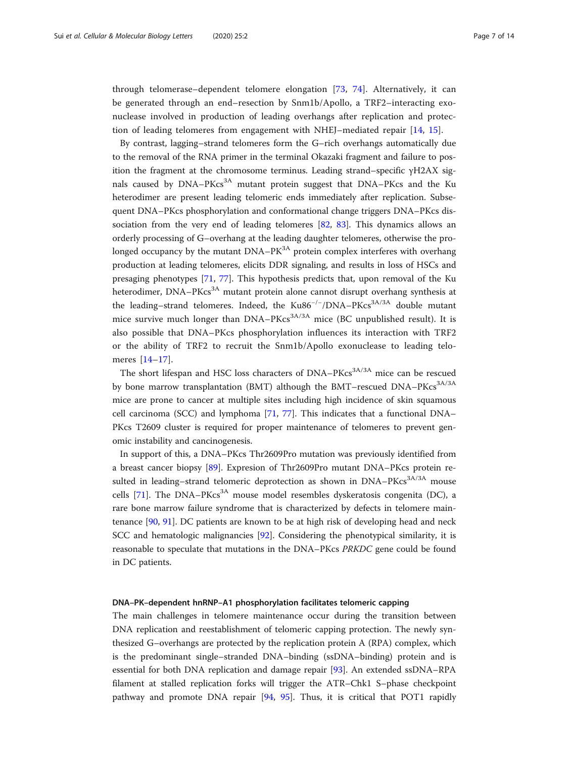through telomerase–dependent telomere elongation [[73,](#page-12-0) [74](#page-12-0)]. Alternatively, it can be generated through an end–resection by Snm1b/Apollo, a TRF2–interacting exonuclease involved in production of leading overhangs after replication and protection of leading telomeres from engagement with NHEJ–mediated repair [[14,](#page-10-0) [15\]](#page-10-0).

By contrast, lagging–strand telomeres form the G–rich overhangs automatically due to the removal of the RNA primer in the terminal Okazaki fragment and failure to position the fragment at the chromosome terminus. Leading strand–specific γH2AX signals caused by  $DNA-PKcs<sup>3A</sup>$  mutant protein suggest that  $DNA-PKcs$  and the Ku heterodimer are present leading telomeric ends immediately after replication. Subsequent DNA–PKcs phosphorylation and conformational change triggers DNA–PKcs dissociation from the very end of leading telomeres [[82,](#page-12-0) [83](#page-12-0)]. This dynamics allows an orderly processing of G–overhang at the leading daughter telomeres, otherwise the prolonged occupancy by the mutant  $DNA-PK<sup>3A</sup>$  protein complex interferes with overhang production at leading telomeres, elicits DDR signaling, and results in loss of HSCs and presaging phenotypes [[71,](#page-12-0) [77](#page-12-0)]. This hypothesis predicts that, upon removal of the Ku heterodimer, DNA–PKcs<sup>3A</sup> mutant protein alone cannot disrupt overhang synthesis at the leading–strand telomeres. Indeed, the Ku86<sup>-/-</sup>/DNA–PKcs<sup>3A/3A</sup> double mutant mice survive much longer than  $DNA-PKcs^{3A/3A}$  mice (BC unpublished result). It is also possible that DNA–PKcs phosphorylation influences its interaction with TRF2 or the ability of TRF2 to recruit the Snm1b/Apollo exonuclease to leading telomeres [[14](#page-10-0)–[17\]](#page-10-0).

The short lifespan and HSC loss characters of DNA–PKcs<sup>3A/3A</sup> mice can be rescued by bone marrow transplantation (BMT) although the BMT–rescued DNA–PKcs<sup>3A/3A</sup> mice are prone to cancer at multiple sites including high incidence of skin squamous cell carcinoma (SCC) and lymphoma [[71,](#page-12-0) [77\]](#page-12-0). This indicates that a functional DNA– PKcs T2609 cluster is required for proper maintenance of telomeres to prevent genomic instability and cancinogenesis.

In support of this, a DNA–PKcs Thr2609Pro mutation was previously identified from a breast cancer biopsy [\[89](#page-12-0)]. Expresion of Thr2609Pro mutant DNA–PKcs protein resulted in leading–strand telomeric deprotection as shown in  $DNA-PKcs<sup>3A/3A</sup>$  mouse cells [[71\]](#page-12-0). The DNA–PK $cs^{3A}$  mouse model resembles dyskeratosis congenita (DC), a rare bone marrow failure syndrome that is characterized by defects in telomere maintenance [\[90](#page-12-0), [91](#page-12-0)]. DC patients are known to be at high risk of developing head and neck SCC and hematologic malignancies [\[92](#page-13-0)]. Considering the phenotypical similarity, it is reasonable to speculate that mutations in the DNA–PKcs PRKDC gene could be found in DC patients.

#### DNA–PK–dependent hnRNP–A1 phosphorylation facilitates telomeric capping

The main challenges in telomere maintenance occur during the transition between DNA replication and reestablishment of telomeric capping protection. The newly synthesized G–overhangs are protected by the replication protein A (RPA) complex, which is the predominant single–stranded DNA–binding (ssDNA–binding) protein and is essential for both DNA replication and damage repair [[93\]](#page-13-0). An extended ssDNA–RPA filament at stalled replication forks will trigger the ATR–Chk1 S–phase checkpoint pathway and promote DNA repair [\[94](#page-13-0), [95\]](#page-13-0). Thus, it is critical that POT1 rapidly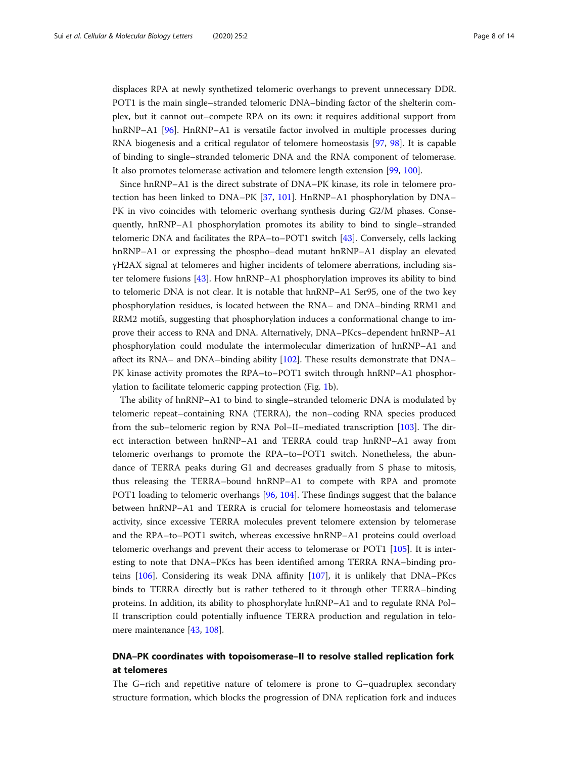displaces RPA at newly synthetized telomeric overhangs to prevent unnecessary DDR. POT1 is the main single–stranded telomeric DNA–binding factor of the shelterin complex, but it cannot out–compete RPA on its own: it requires additional support from hnRNP–A1 [\[96](#page-13-0)]. HnRNP–A1 is versatile factor involved in multiple processes during RNA biogenesis and a critical regulator of telomere homeostasis [[97,](#page-13-0) [98](#page-13-0)]. It is capable of binding to single–stranded telomeric DNA and the RNA component of telomerase. It also promotes telomerase activation and telomere length extension [[99](#page-13-0), [100](#page-13-0)].

Since hnRNP–A1 is the direct substrate of DNA–PK kinase, its role in telomere protection has been linked to DNA–PK [\[37](#page-11-0), [101](#page-13-0)]. HnRNP–A1 phosphorylation by DNA– PK in vivo coincides with telomeric overhang synthesis during G2/M phases. Consequently, hnRNP–A1 phosphorylation promotes its ability to bind to single–stranded telomeric DNA and facilitates the RPA–to–POT1 switch [\[43\]](#page-11-0). Conversely, cells lacking hnRNP–A1 or expressing the phospho–dead mutant hnRNP–A1 display an elevated γH2AX signal at telomeres and higher incidents of telomere aberrations, including sister telomere fusions [\[43\]](#page-11-0). How hnRNP–A1 phosphorylation improves its ability to bind to telomeric DNA is not clear. It is notable that hnRNP–A1 Ser95, one of the two key phosphorylation residues, is located between the RNA– and DNA–binding RRM1 and RRM2 motifs, suggesting that phosphorylation induces a conformational change to improve their access to RNA and DNA. Alternatively, DNA–PKcs–dependent hnRNP–A1 phosphorylation could modulate the intermolecular dimerization of hnRNP–A1 and affect its RNA– and DNA–binding ability [\[102\]](#page-13-0). These results demonstrate that DNA– PK kinase activity promotes the RPA–to–POT1 switch through hnRNP–A1 phosphorylation to facilitate telomeric capping protection (Fig. [1b](#page-5-0)).

The ability of hnRNP–A1 to bind to single–stranded telomeric DNA is modulated by telomeric repeat–containing RNA (TERRA), the non–coding RNA species produced from the sub–telomeric region by RNA Pol–II–mediated transcription [[103\]](#page-13-0). The direct interaction between hnRNP–A1 and TERRA could trap hnRNP–A1 away from telomeric overhangs to promote the RPA–to–POT1 switch. Nonetheless, the abundance of TERRA peaks during G1 and decreases gradually from S phase to mitosis, thus releasing the TERRA–bound hnRNP–A1 to compete with RPA and promote POT1 loading to telomeric overhangs [\[96](#page-13-0), [104](#page-13-0)]. These findings suggest that the balance between hnRNP–A1 and TERRA is crucial for telomere homeostasis and telomerase activity, since excessive TERRA molecules prevent telomere extension by telomerase and the RPA–to–POT1 switch, whereas excessive hnRNP–A1 proteins could overload telomeric overhangs and prevent their access to telomerase or POT1 [\[105](#page-13-0)]. It is interesting to note that DNA–PKcs has been identified among TERRA RNA–binding proteins [[106\]](#page-13-0). Considering its weak DNA affinity [[107\]](#page-13-0), it is unlikely that DNA–PKcs binds to TERRA directly but is rather tethered to it through other TERRA–binding proteins. In addition, its ability to phosphorylate hnRNP–A1 and to regulate RNA Pol– II transcription could potentially influence TERRA production and regulation in telomere maintenance [[43](#page-11-0), [108](#page-13-0)].

# DNA–PK coordinates with topoisomerase–II to resolve stalled replication fork at telomeres

The G–rich and repetitive nature of telomere is prone to G–quadruplex secondary structure formation, which blocks the progression of DNA replication fork and induces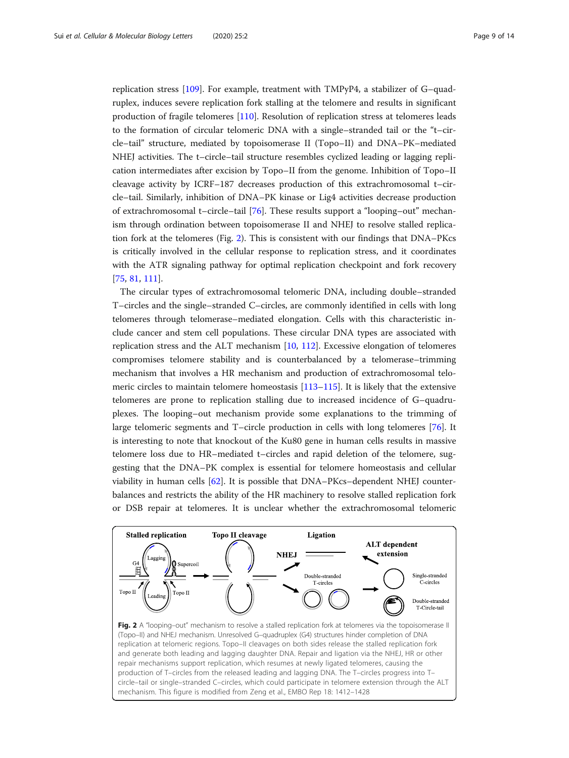replication stress [[109\]](#page-13-0). For example, treatment with TMPyP4, a stabilizer of G–quadruplex, induces severe replication fork stalling at the telomere and results in significant production of fragile telomeres [\[110\]](#page-13-0). Resolution of replication stress at telomeres leads to the formation of circular telomeric DNA with a single–stranded tail or the "t–circle–tail" structure, mediated by topoisomerase II (Topo–II) and DNA–PK–mediated NHEJ activities. The t–circle–tail structure resembles cyclized leading or lagging replication intermediates after excision by Topo–II from the genome. Inhibition of Topo–II cleavage activity by ICRF–187 decreases production of this extrachromosomal t–circle–tail. Similarly, inhibition of DNA–PK kinase or Lig4 activities decrease production of extrachromosomal t–circle–tail [[76\]](#page-12-0). These results support a "looping–out" mechanism through ordination between topoisomerase II and NHEJ to resolve stalled replication fork at the telomeres (Fig. 2). This is consistent with our findings that DNA–PKcs is critically involved in the cellular response to replication stress, and it coordinates with the ATR signaling pathway for optimal replication checkpoint and fork recovery [[75,](#page-12-0) [81,](#page-12-0) [111](#page-13-0)].

The circular types of extrachromosomal telomeric DNA, including double–stranded T–circles and the single–stranded C–circles, are commonly identified in cells with long telomeres through telomerase–mediated elongation. Cells with this characteristic include cancer and stem cell populations. These circular DNA types are associated with replication stress and the ALT mechanism [\[10](#page-10-0), [112](#page-13-0)]. Excessive elongation of telomeres compromises telomere stability and is counterbalanced by a telomerase–trimming mechanism that involves a HR mechanism and production of extrachromosomal telomeric circles to maintain telomere homeostasis [\[113](#page-13-0)–[115](#page-13-0)]. It is likely that the extensive telomeres are prone to replication stalling due to increased incidence of G–quadruplexes. The looping–out mechanism provide some explanations to the trimming of large telomeric segments and T–circle production in cells with long telomeres [\[76](#page-12-0)]. It is interesting to note that knockout of the Ku80 gene in human cells results in massive telomere loss due to HR–mediated t–circles and rapid deletion of the telomere, suggesting that the DNA–PK complex is essential for telomere homeostasis and cellular viability in human cells [\[62\]](#page-12-0). It is possible that DNA–PKcs–dependent NHEJ counterbalances and restricts the ability of the HR machinery to resolve stalled replication fork or DSB repair at telomeres. It is unclear whether the extrachromosomal telomeric

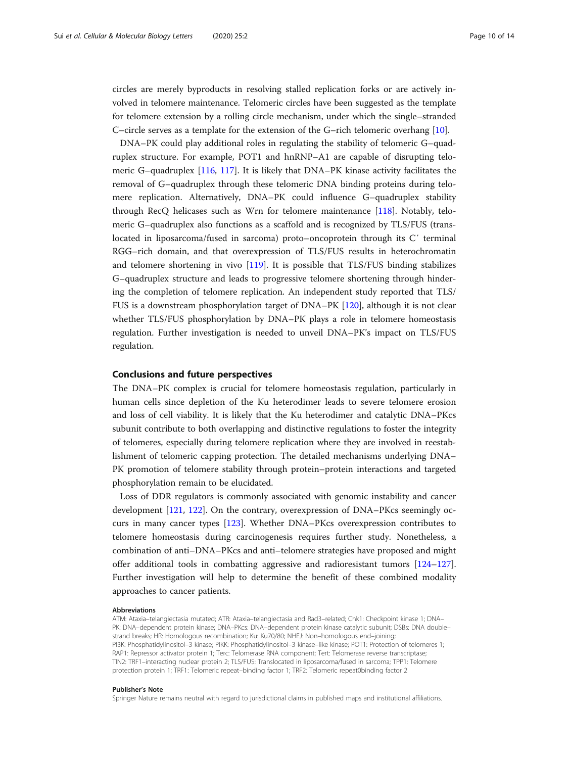circles are merely byproducts in resolving stalled replication forks or are actively involved in telomere maintenance. Telomeric circles have been suggested as the template for telomere extension by a rolling circle mechanism, under which the single–stranded C–circle serves as a template for the extension of the G–rich telomeric overhang [[10\]](#page-10-0).

DNA–PK could play additional roles in regulating the stability of telomeric G–quadruplex structure. For example, POT1 and hnRNP–A1 are capable of disrupting telomeric G–quadruplex [\[116](#page-13-0), [117](#page-13-0)]. It is likely that DNA–PK kinase activity facilitates the removal of G–quadruplex through these telomeric DNA binding proteins during telomere replication. Alternatively, DNA–PK could influence G–quadruplex stability through RecQ helicases such as Wrn for telomere maintenance [[118\]](#page-13-0). Notably, telomeric G–quadruplex also functions as a scaffold and is recognized by TLS/FUS (translocated in liposarcoma/fused in sarcoma) proto–oncoprotein through its C′ terminal RGG–rich domain, and that overexpression of TLS/FUS results in heterochromatin and telomere shortening in vivo [\[119\]](#page-13-0). It is possible that TLS/FUS binding stabilizes G–quadruplex structure and leads to progressive telomere shortening through hindering the completion of telomere replication. An independent study reported that TLS/ FUS is a downstream phosphorylation target of DNA–PK [\[120\]](#page-13-0), although it is not clear whether TLS/FUS phosphorylation by DNA–PK plays a role in telomere homeostasis regulation. Further investigation is needed to unveil DNA–PK's impact on TLS/FUS regulation.

### Conclusions and future perspectives

The DNA–PK complex is crucial for telomere homeostasis regulation, particularly in human cells since depletion of the Ku heterodimer leads to severe telomere erosion and loss of cell viability. It is likely that the Ku heterodimer and catalytic DNA–PKcs subunit contribute to both overlapping and distinctive regulations to foster the integrity of telomeres, especially during telomere replication where they are involved in reestablishment of telomeric capping protection. The detailed mechanisms underlying DNA– PK promotion of telomere stability through protein–protein interactions and targeted phosphorylation remain to be elucidated.

Loss of DDR regulators is commonly associated with genomic instability and cancer development [[121,](#page-13-0) [122\]](#page-13-0). On the contrary, overexpression of DNA–PKcs seemingly occurs in many cancer types [\[123\]](#page-13-0). Whether DNA–PKcs overexpression contributes to telomere homeostasis during carcinogenesis requires further study. Nonetheless, a combination of anti–DNA–PKcs and anti–telomere strategies have proposed and might offer additional tools in combatting aggressive and radioresistant tumors [[124](#page-13-0)–[127](#page-13-0)]. Further investigation will help to determine the benefit of these combined modality approaches to cancer patients.

#### Abbreviations

ATM: Ataxia–telangiectasia mutated; ATR: Ataxia–telangiectasia and Rad3–related; Chk1: Checkpoint kinase 1; DNA– PK: DNA–dependent protein kinase; DNA–PKcs: DNA–dependent protein kinase catalytic subunit; DSBs: DNA double– strand breaks; HR: Homologous recombination; Ku: Ku70/80; NHEJ: Non–homologous end–joining; PI3K: Phosphatidylinositol–3 kinase; PIKK: Phosphatidylinositol–3 kinase–like kinase; POT1: Protection of telomeres 1; RAP1: Repressor activator protein 1; Terc: Telomerase RNA component; Tert: Telomerase reverse transcriptase; TIN2: TRF1–interacting nuclear protein 2; TLS/FUS: Translocated in liposarcoma/fused in sarcoma; TPP1: Telomere protection protein 1; TRF1: Telomeric repeat–binding factor 1; TRF2: Telomeric repeat0binding factor 2

#### Publisher's Note

Springer Nature remains neutral with regard to jurisdictional claims in published maps and institutional affiliations.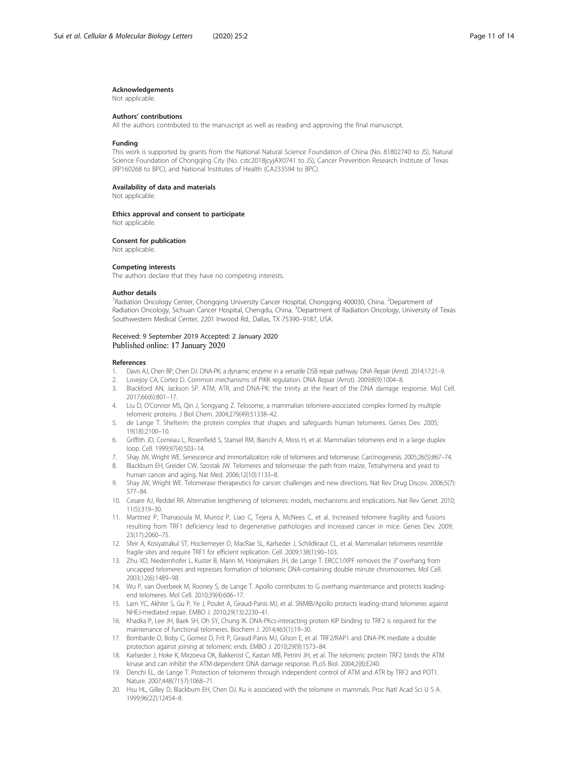#### <span id="page-10-0"></span>Acknowledgements

Not applicable.

#### Authors' contributions

All the authors contributed to the manuscript as well as reading and approving the final manuscript.

#### Funding

This work is supported by grants from the National Natural Science Foundation of China (No. 81802740 to JS), Natural Science Foundation of Chongqing City (No. cstc2018jcyjAX0741 to JS), Cancer Prevention Research Institute of Texas (RP160268 to BPC), and National Institutes of Health (CA233594 to BPC).

#### Availability of data and materials

Not applicable.

#### Ethics approval and consent to participate

Not applicable.

#### Consent for publication

Not applicable.

#### Competing interests

The authors declare that they have no competing interests.

#### Author details

<sup>1</sup>Radiation Oncology Center, Chongqing University Cancer Hospital, Chongqing 400030, China. <sup>2</sup>Department of Radiation Oncology, Sichuan Cancer Hospital, Chengdu, China. <sup>3</sup>Department of Radiation Oncology, University of Texas Southwestern Medical Center, 2201 Inwood Rd., Dallas, TX 75390–9187, USA.

#### Received: 9 September 2019 Accepted: 2 January 2020 Published online: 17 January 2020

#### References

- 1. Davis AJ, Chen BP, Chen DJ. DNA-PK: a dynamic enzyme in a versatile DSB repair pathway. DNA Repair (Amst). 2014;17:21–9.
- 2. Lovejoy CA, Cortez D. Common mechanisms of PIKK regulation. DNA Repair (Amst). 2009;8(9):1004–8.
- 3. Blackford AN, Jackson SP. ATM, ATR, and DNA-PK: the trinity at the heart of the DNA damage response. Mol Cell. 2017;66(6):801–17.
- 4. Liu D, O'Connor MS, Qin J, Songyang Z. Telosome, a mammalian telomere-associated complex formed by multiple telomeric proteins. J Biol Chem. 2004;279(49):51338–42.
- 5. de Lange T. Shelterin: the protein complex that shapes and safeguards human telomeres. Genes Dev. 2005; 19(18):2100–10.
- 6. Griffith JD, Comeau L, Rosenfield S, Stansel RM, Bianchi A, Moss H, et al. Mammalian telomeres end in a large duplex loop. Cell. 1999;97(4):503–14.
- 7. Shay JW, Wright WE. Senescence and immortalization: role of telomeres and telomerase. Carcinogenesis. 2005;26(5):867–74.
- 8. Blackburn EH, Greider CW, Szostak JW. Telomeres and telomerase: the path from maize, Tetrahymena and yeast to human cancer and aging. Nat Med. 2006;12(10):1133–8.
- 9. Shay JW, Wright WE. Telomerase therapeutics for cancer: challenges and new directions. Nat Rev Drug Discov. 2006;5(7): 577–84.
- 10. Cesare AJ, Reddel RR. Alternative lengthening of telomeres: models, mechanisms and implications. Nat Rev Genet. 2010; 11(5):319–30.
- 11. Martinez P, Thanasoula M, Munoz P, Liao C, Tejera A, McNees C, et al. Increased telomere fragility and fusions resulting from TRF1 deficiency lead to degenerative pathologies and increased cancer in mice. Genes Dev. 2009; 23(17):2060–75.
- 12. Sfeir A, Kosiyatrakul ST, Hockemeyer D, MacRae SL, Karlseder J, Schildkraut CL, et al. Mammalian telomeres resemble fragile sites and require TRF1 for efficient replication. Cell. 2009;138(1):90–103.
- 13. Zhu XD, Niedernhofer L, Kuster B, Mann M, Hoeijmakers JH, de Lange T. ERCC1/XPF removes the 3' overhang from uncapped telomeres and represses formation of telomeric DNA-containing double minute chromosomes. Mol Cell. 2003;12(6):1489–98.
- 14. Wu P, van Overbeek M, Rooney S, de Lange T. Apollo contributes to G overhang maintenance and protects leadingend telomeres. Mol Cell. 2010;39(4):606–17.
- 15. Lam YC, Akhter S, Gu P, Ye J, Poulet A, Giraud-Panis MJ, et al. SNMIB/Apollo protects leading-strand telomeres against NHEJ-mediated repair. EMBO J. 2010;29(13):2230–41.
- 16. Khadka P, Lee JH, Baek SH, Oh SY, Chung IK. DNA-PKcs-interacting protein KIP binding to TRF2 is required for the maintenance of functional telomeres. Biochem J. 2014;463(1):19–30.
- 17. Bombarde O, Boby C, Gomez D, Frit P, Giraud-Panis MJ, Gilson E, et al. TRF2/RAP1 and DNA-PK mediate a double protection against joining at telomeric ends. EMBO J. 2010;29(9):1573–84.
- 18. Karlseder J, Hoke K, Mirzoeva OK, Bakkenist C, Kastan MB, Petrini JH, et al. The telomeric protein TRF2 binds the ATM kinase and can inhibit the ATM-dependent DNA damage response. PLoS Biol. 2004;2(8):E240.
- 19. Denchi EL, de Lange T. Protection of telomeres through independent control of ATM and ATR by TRF2 and POT1. Nature. 2007;448(7157):1068–71.
- 20. Hsu HL, Gilley D, Blackburn EH, Chen DJ. Ku is associated with the telomere in mammals. Proc Natl Acad Sci U S A. 1999;96(22):12454–8.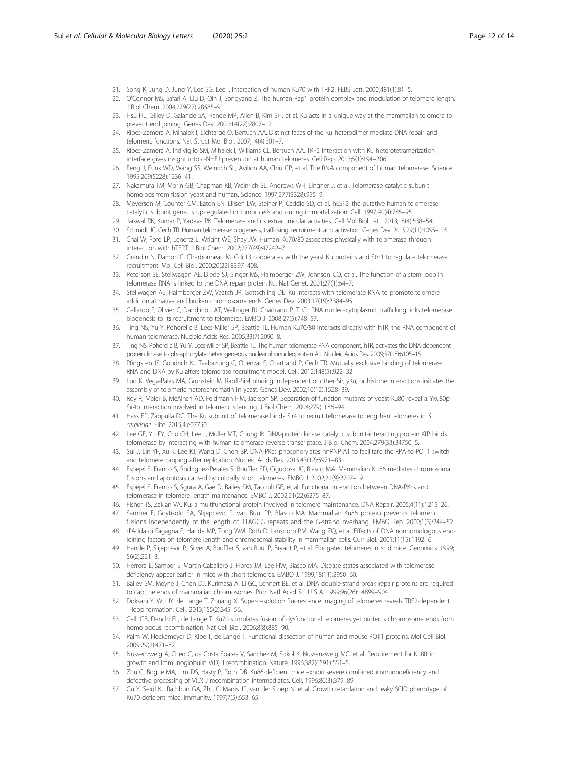- <span id="page-11-0"></span>21. Song K, Jung D, Jung Y, Lee SG, Lee I. Interaction of human Ku70 with TRF2. FEBS Lett. 2000;481(1):81–5.
- 22. O'Connor MS, Safari A, Liu D, Qin J, Songyang Z. The human Rap1 protein complex and modulation of telomere length. J Biol Chem. 2004;279(27):28585–91.
- 23. Hsu HL, Gilley D, Galande SA, Hande MP, Allen B, Kim SH, et al. Ku acts in a unique way at the mammalian telomere to prevent end joining. Genes Dev. 2000;14(22):2807–12.
- 24. Ribes-Zamora A, Mihalek I, Lichtarge O, Bertuch AA. Distinct faces of the Ku heterodimer mediate DNA repair and telomeric functions. Nat Struct Mol Biol. 2007;14(4):301–7.
- 25. Ribes-Zamora A, Indiviglio SM, Mihalek I, Williams CL, Bertuch AA. TRF2 interaction with Ku heterotetramerization interface gives insight into c-NHEJ prevention at human telomeres. Cell Rep. 2013;5(1):194–206.
- 26. Feng J, Funk WD, Wang SS, Weinrich SL, Avilion AA, Chiu CP, et al. The RNA component of human telomerase. Science. 1995;269(5228):1236–41.
- 27. Nakamura TM, Morin GB, Chapman KB, Weinrich SL, Andrews WH, Lingner J, et al. Telomerase catalytic subunit homologs from fission yeast and human. Science. 1997;277(5328):955–9.
- 28. Meyerson M, Counter CM, Eaton EN, Ellisen LW, Steiner P, Caddle SD, et al. hEST2, the putative human telomerase catalytic subunit gene, is up-regulated in tumor cells and during immortalization. Cell. 1997;90(4):785–95.
- 29. Jaiswal RK, Kumar P, Yadava PK. Telomerase and its extracurricular activities. Cell Mol Biol Lett. 2013;18(4):538–54.
- 30. Schmidt JC, Cech TR. Human telomerase: biogenesis, trafficking, recruitment, and activation. Genes Dev. 2015;29(11):1095–105.
- 31. Chai W, Ford LP, Lenertz L, Wright WE, Shay JW. Human Ku70/80 associates physically with telomerase through interaction with hTERT. J Biol Chem. 2002;277(49):47242–7.
- 32. Grandin N, Damon C, Charbonneau M. Cdc13 cooperates with the yeast Ku proteins and Stn1 to regulate telomerase recruitment. Mol Cell Biol. 2000;20(22):8397–408.
- 33. Peterson SE, Stellwagen AE, Diede SJ, Singer MS, Haimberger ZW, Johnson CO, et al. The function of a stem-loop in telomerase RNA is linked to the DNA repair protein Ku. Nat Genet. 2001;27(1):64–7.
- 34. Stellwagen AE, Haimberger ZW, Veatch JR, Gottschling DE. Ku interacts with telomerase RNA to promote telomere addition at native and broken chromosome ends. Genes Dev. 2003;17(19):2384–95.
- 35. Gallardo F, Olivier C, Dandjinou AT, Wellinger RJ, Chartrand P. TLC1 RNA nucleo-cytoplasmic trafficking links telomerase biogenesis to its recruitment to telomeres. EMBO J. 2008;27(5):748–57.
- 36. Ting NS, Yu Y, Pohorelic B, Lees-Miller SP, Beattie TL. Human Ku70/80 interacts directly with hTR, the RNA component of human telomerase. Nucleic Acids Res. 2005;33(7):2090–8.
- 37. Ting NS, Pohorelic B, Yu Y, Lees-Miller SP, Beattie TL. The human telomerase RNA component, hTR, activates the DNA-dependent protein kinase to phosphorylate heterogeneous nuclear ribonucleoprotein A1. Nucleic Acids Res. 2009;37(18):6105–15.
- 38. Pfingsten JS, Goodrich KJ, Taabazuing C, Ouenzar F, Chartrand P, Cech TR. Mutually exclusive binding of telomerase RNA and DNA by Ku alters telomerase recruitment model. Cell. 2012;148(5):922–32.
- 39. Luo K, Vega-Palas MA, Grunstein M. Rap1-Sir4 binding independent of other Sir, yKu, or histone interactions initiates the assembly of telomeric heterochromatin in yeast. Genes Dev. 2002;16(12):1528–39.
- 40. Roy R, Meier B, McAinsh AD, Feldmann HM, Jackson SP. Separation-of-function mutants of yeast Ku80 reveal a Yku80p-Sir4p interaction involved in telomeric silencing. J Biol Chem. 2004;279(1):86–94.
- 41. Hass EP, Zappulla DC. The Ku subunit of telomerase binds Sir4 to recruit telomerase to lengthen telomeres in S. cerevisiae. Elife. 2015;4:e07750.
- 42. Lee GE, Yu EY, Cho CH, Lee J, Muller MT, Chung IK. DNA-protein kinase catalytic subunit-interacting protein KIP binds telomerase by interacting with human telomerase reverse transcriptase. J Biol Chem. 2004;279(33):34750–5.
- 43. Sui J, Lin YF, Xu K, Lee KJ, Wang D, Chen BP. DNA-PKcs phosphorylates hnRNP-A1 to facilitate the RPA-to-POT1 switch and telomere capping after replication. Nucleic Acids Res. 2015;43(12):5971–83.
- 44. Espejel S, Franco S, Rodriguez-Perales S, Bouffler SD, Cigudosa JC, Blasco MA. Mammalian Ku86 mediates chromosomal fusions and apoptosis caused by critically short telomeres. EMBO J. 2002;21(9):2207–19.
- 45. Espejel S, Franco S, Sgura A, Gae D, Bailey SM, Taccioli GE, et al. Functional interaction between DNA-PKcs and telomerase in telomere length maintenance. EMBO J. 2002;21(22):6275–87.
- 46. Fisher TS, Zakian VA. Ku: a multifunctional protein involved in telomere maintenance. DNA Repair. 2005;4(11):1215–26.
- 47. Samper E, Goytisolo FA, Slijepcevic P, van Buul PP, Blasco MA. Mammalian Ku86 protein prevents telomeric fusions independently of the length of TTAGGG repeats and the G-strand overhang. EMBO Rep. 2000;1(3):244–52.
- 48. d'Adda di Fagagna F, Hande MP, Tong WM, Roth D, Lansdorp PM, Wang ZQ, et al. Effects of DNA nonhomologous endjoining factors on telomere length and chromosomal stability in mammalian cells. Curr Biol. 2001;11(15):1192–6.
- 49. Hande P, Slijepcevic P, Silver A, Bouffler S, van Buul P, Bryant P, et al. Elongated telomeres in scid mice. Genomics. 1999; 56(2):221–3.
- 50. Herrera E, Samper E, Martin-Caballero J, Flores JM, Lee HW, Blasco MA. Disease states associated with telomerase deficiency appear earlier in mice with short telomeres. EMBO J. 1999;18(11):2950–60.
- 51. Bailey SM, Meyne J, Chen DJ, Kurimasa A, Li GC, Lehnert BE, et al. DNA double-strand break repair proteins are required to cap the ends of mammalian chromosomes. Proc Natl Acad Sci U S A. 1999;96(26):14899–904.
- 52. Doksani Y, Wu JY, de Lange T, Zhuang X. Super-resolution fluorescence imaging of telomeres reveals TRF2-dependent T-loop formation. Cell. 2013;155(2):345–56.
- 53. Celli GB, Denchi EL, de Lange T. Ku70 stimulates fusion of dysfunctional telomeres yet protects chromosome ends from homologous recombination. Nat Cell Biol. 2006;8(8):885–90.
- 54. Palm W, Hockemeyer D, Kibe T, de Lange T. Functional dissection of human and mouse POT1 proteins. Mol Cell Biol. 2009;29(2):471–82.
- 55. Nussenzweig A, Chen C, da Costa Soares V, Sanchez M, Sokol K, Nussenzweig MC, et al. Requirement for Ku80 in growth and immunoglobulin V(D) J recombination. Nature. 1996;382(6591):551–5.
- 56. Zhu C, Bogue MA, Lim DS, Hasty P, Roth DB. Ku86-deficient mice exhibit severe combined immunodeficiency and defective processing of V(D) J recombination intermediates. Cell. 1996;86(3):379–89.
- 57. Gu Y, Seidl KJ, Rathbun GA, Zhu C, Manis JP, van der Stoep N, et al. Growth retardation and leaky SCID phenotype of Ku70-deficient mice. Immunity. 1997;7(5):653–65.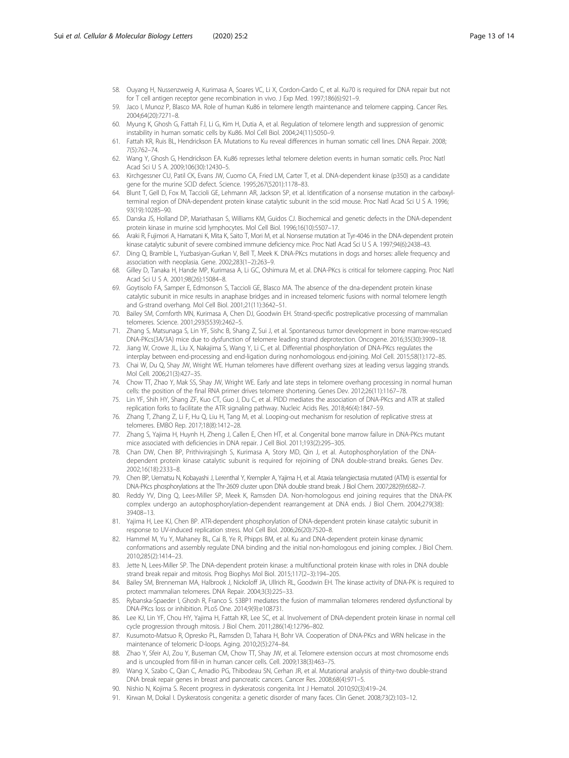- <span id="page-12-0"></span>58. Ouyang H, Nussenzweig A, Kurimasa A, Soares VC, Li X, Cordon-Cardo C, et al. Ku70 is required for DNA repair but not for T cell antigen receptor gene recombination in vivo. J Exp Med. 1997;186(6):921–9.
- 59. Jaco I, Munoz P, Blasco MA. Role of human Ku86 in telomere length maintenance and telomere capping. Cancer Res. 2004;64(20):7271–8.
- 60. Myung K, Ghosh G, Fattah FJ, Li G, Kim H, Dutia A, et al. Regulation of telomere length and suppression of genomic instability in human somatic cells by Ku86. Mol Cell Biol. 2004;24(11):5050–9.
- 61. Fattah KR, Ruis BL, Hendrickson EA. Mutations to Ku reveal differences in human somatic cell lines. DNA Repair. 2008; 7(5):762–74.
- 62. Wang Y, Ghosh G, Hendrickson EA. Ku86 represses lethal telomere deletion events in human somatic cells. Proc Natl Acad Sci U S A. 2009;106(30):12430–5.
- 63. Kirchgessner CU, Patil CK, Evans JW, Cuomo CA, Fried LM, Carter T, et al. DNA-dependent kinase (p350) as a candidate gene for the murine SCID defect. Science. 1995;267(5201):1178–83.
- 64. Blunt T, Gell D, Fox M, Taccioli GE, Lehmann AR, Jackson SP, et al. Identification of a nonsense mutation in the carboxylterminal region of DNA-dependent protein kinase catalytic subunit in the scid mouse. Proc Natl Acad Sci U S A. 1996; 93(19):10285–90.
- 65. Danska JS, Holland DP, Mariathasan S, Williams KM, Guidos CJ. Biochemical and genetic defects in the DNA-dependent protein kinase in murine scid lymphocytes. Mol Cell Biol. 1996;16(10):5507–17.
- 66. Araki R, Fujimori A, Hamatani K, Mita K, Saito T, Mori M, et al. Nonsense mutation at Tyr-4046 in the DNA-dependent protein kinase catalytic subunit of severe combined immune deficiency mice. Proc Natl Acad Sci U S A. 1997;94(6):2438–43.
- 67. Ding Q, Bramble L, Yuzbasiyan-Gurkan V, Bell T, Meek K. DNA-PKcs mutations in dogs and horses: allele frequency and association with neoplasia. Gene. 2002;283(1–2):263–9.
- 68. Gilley D, Tanaka H, Hande MP, Kurimasa A, Li GC, Oshimura M, et al. DNA-PKcs is critical for telomere capping. Proc Natl Acad Sci U S A. 2001;98(26):15084–8.
- 69. Goytisolo FA, Samper E, Edmonson S, Taccioli GE, Blasco MA. The absence of the dna-dependent protein kinase catalytic subunit in mice results in anaphase bridges and in increased telomeric fusions with normal telomere length and G-strand overhang. Mol Cell Biol. 2001;21(11):3642–51.
- 70. Bailey SM, Cornforth MN, Kurimasa A, Chen DJ, Goodwin EH. Strand-specific postreplicative processing of mammalian telomeres. Science. 2001;293(5539):2462–5.
- 71. Zhang S, Matsunaga S, Lin YF, Sishc B, Shang Z, Sui J, et al. Spontaneous tumor development in bone marrow-rescued DNA-PKcs(3A/3A) mice due to dysfunction of telomere leading strand deprotection. Oncogene. 2016;35(30):3909–18.
- 72. Jiang W, Crowe JL, Liu X, Nakajima S, Wang Y, Li C, et al. Differential phosphorylation of DNA-PKcs regulates the interplay between end-processing and end-ligation during nonhomologous end-joining. Mol Cell. 2015;58(1):172–85.
- 73. Chai W, Du Q, Shay JW, Wright WE. Human telomeres have different overhang sizes at leading versus lagging strands. Mol Cell. 2006;21(3):427–35.
- 74. Chow TT, Zhao Y, Mak SS, Shay JW, Wright WE. Early and late steps in telomere overhang processing in normal human cells: the position of the final RNA primer drives telomere shortening. Genes Dev. 2012;26(11):1167–78.
- 75. Lin YF, Shih HY, Shang ZF, Kuo CT, Guo J, Du C, et al. PIDD mediates the association of DNA-PKcs and ATR at stalled replication forks to facilitate the ATR signaling pathway. Nucleic Acids Res. 2018;46(4):1847–59.
- 76. Zhang T, Zhang Z, Li F, Hu Q, Liu H, Tang M, et al. Looping-out mechanism for resolution of replicative stress at telomeres. EMBO Rep. 2017;18(8):1412–28.
- 77. Zhang S, Yajima H, Huynh H, Zheng J, Callen E, Chen HT, et al. Congenital bone marrow failure in DNA-PKcs mutant mice associated with deficiencies in DNA repair. J Cell Biol. 2011;193(2):295–305.
- 78. Chan DW, Chen BP, Prithivirajsingh S, Kurimasa A, Story MD, Qin J, et al. Autophosphorylation of the DNAdependent protein kinase catalytic subunit is required for rejoining of DNA double-strand breaks. Genes Dev. 2002;16(18):2333–8.
- 79. Chen BP, Uematsu N, Kobayashi J, Lerenthal Y, Krempler A, Yajima H, et al. Ataxia telangiectasia mutated (ATM) is essential for DNA-PKcs phosphorylations at the Thr-2609 cluster upon DNA double strand break. J Biol Chem. 2007;282(9):6582–7.
- 80. Reddy YV, Ding Q, Lees-Miller SP, Meek K, Ramsden DA. Non-homologous end joining requires that the DNA-PK complex undergo an autophosphorylation-dependent rearrangement at DNA ends. J Biol Chem. 2004;279(38): 39408–13.
- 81. Yajima H, Lee KJ, Chen BP. ATR-dependent phosphorylation of DNA-dependent protein kinase catalytic subunit in response to UV-induced replication stress. Mol Cell Biol. 2006;26(20):7520–8.
- 82. Hammel M, Yu Y, Mahaney BL, Cai B, Ye R, Phipps BM, et al. Ku and DNA-dependent protein kinase dynamic conformations and assembly regulate DNA binding and the initial non-homologous end joining complex. J Biol Chem. 2010;285(2):1414–23.
- 83. Jette N, Lees-Miller SP. The DNA-dependent protein kinase: a multifunctional protein kinase with roles in DNA double strand break repair and mitosis. Prog Biophys Mol Biol. 2015;117(2–3):194–205.
- 84. Bailey SM, Brenneman MA, Halbrook J, Nickoloff JA, Ullrich RL, Goodwin EH. The kinase activity of DNA-PK is required to protect mammalian telomeres. DNA Repair. 2004;3(3):225–33.
- 85. Rybanska-Spaeder I, Ghosh R, Franco S. 53BP1 mediates the fusion of mammalian telomeres rendered dysfunctional by DNA-PKcs loss or inhibition. PLoS One. 2014;9(9):e108731.
- 86. Lee KJ, Lin YF, Chou HY, Yajima H, Fattah KR, Lee SC, et al. Involvement of DNA-dependent protein kinase in normal cell cycle progression through mitosis. J Biol Chem. 2011;286(14):12796–802.
- 87. Kusumoto-Matsuo R, Opresko PL, Ramsden D, Tahara H, Bohr VA. Cooperation of DNA-PKcs and WRN helicase in the maintenance of telomeric D-loops. Aging. 2010;2(5):274–84.
- 88. Zhao Y, Sfeir AJ, Zou Y, Buseman CM, Chow TT, Shay JW, et al. Telomere extension occurs at most chromosome ends and is uncoupled from fill-in in human cancer cells. Cell. 2009;138(3):463–75.
- 89. Wang X, Szabo C, Qian C, Amadio PG, Thibodeau SN, Cerhan JR, et al. Mutational analysis of thirty-two double-strand DNA break repair genes in breast and pancreatic cancers. Cancer Res. 2008;68(4):971–5.
- 90. Nishio N, Kojima S. Recent progress in dyskeratosis congenita. Int J Hematol. 2010;92(3):419–24.
- 91. Kirwan M, Dokal I. Dyskeratosis congenita: a genetic disorder of many faces. Clin Genet. 2008;73(2):103–12.